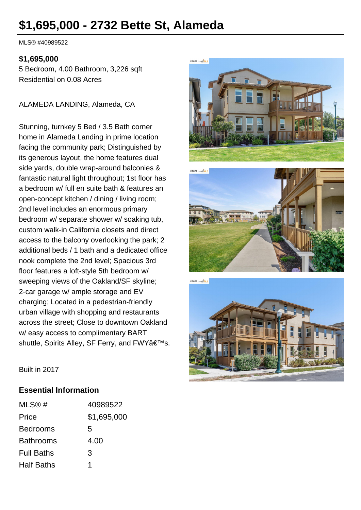# **\$1,695,000 - 2732 Bette St, Alameda**

MLS® #40989522

#### **\$1,695,000**

5 Bedroom, 4.00 Bathroom, 3,226 sqft Residential on 0.08 Acres

ALAMEDA LANDING, Alameda, CA

Stunning, turnkey 5 Bed / 3.5 Bath corner home in Alameda Landing in prime location facing the community park; Distinguished by its generous layout, the home features dual side yards, double wrap-around balconies & fantastic natural light throughout; 1st floor has a bedroom w/ full en suite bath & features an open-concept kitchen / dining / living room; 2nd level includes an enormous primary bedroom w/ separate shower w/ soaking tub, custom walk-in California closets and direct access to the balcony overlooking the park; 2 additional beds / 1 bath and a dedicated office nook complete the 2nd level; Spacious 3rd floor features a loft-style 5th bedroom w/ sweeping views of the Oakland/SF skyline; 2-car garage w/ ample storage and EV charging; Located in a pedestrian-friendly urban village with shopping and restaurants across the street; Close to downtown Oakland w/ easy access to complimentary BART shuttle, Spirits Alley, SF Ferry, and FWY's.







Built in 2017

#### **Essential Information**

| MLS@#             | 40989522    |
|-------------------|-------------|
| Price             | \$1,695,000 |
| <b>Bedrooms</b>   | 5           |
| <b>Bathrooms</b>  | 4.00        |
| <b>Full Baths</b> | 3           |
| <b>Half Baths</b> |             |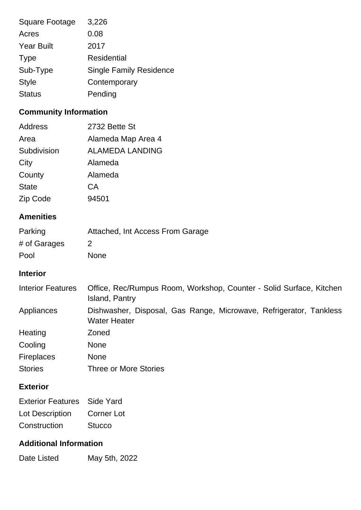| <b>Square Footage</b> | 3,226                          |
|-----------------------|--------------------------------|
| Acres                 | 0.08                           |
| <b>Year Built</b>     | 2017                           |
| <b>Type</b>           | Residential                    |
| Sub-Type              | <b>Single Family Residence</b> |
| <b>Style</b>          | Contemporary                   |
| <b>Status</b>         | Pending                        |
|                       |                                |

## **Community Information**

| Address      | 2732 Bette St          |
|--------------|------------------------|
| Area         | Alameda Map Area 4     |
| Subdivision  | <b>ALAMEDA LANDING</b> |
| City         | Alameda                |
| County       | Alameda                |
| <b>State</b> | СA                     |
| Zip Code     | 94501                  |

#### **Amenities**

| Parking      | Attached, Int Access From Garage |
|--------------|----------------------------------|
| # of Garages | $\mathcal{P}$                    |
| Pool         | <b>None</b>                      |

#### **Interior**

| <b>Interior Features</b> | Office, Rec/Rumpus Room, Workshop, Counter - Solid Surface, Kitchen<br>Island, Pantry     |
|--------------------------|-------------------------------------------------------------------------------------------|
| Appliances               | Dishwasher, Disposal, Gas Range, Microwave, Refrigerator, Tankless<br><b>Water Heater</b> |
| Heating                  | Zoned                                                                                     |
| Cooling                  | <b>None</b>                                                                               |
| <b>Fireplaces</b>        | <b>None</b>                                                                               |
| <b>Stories</b>           | <b>Three or More Stories</b>                                                              |

## **Exterior**

| <b>Exterior Features</b> Side Yard |               |
|------------------------------------|---------------|
| Lot Description                    | Corner Lot    |
| Construction                       | <b>Stucco</b> |

## **Additional Information**

Date Listed May 5th, 2022